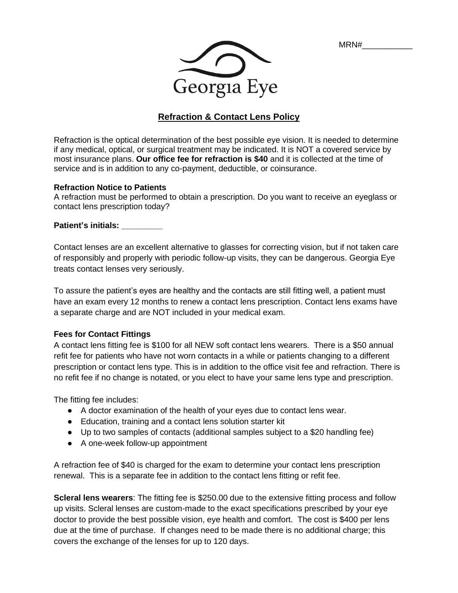MRN#\_\_\_\_\_\_\_\_\_\_\_



# **Refraction & Contact Lens Policy**

Refraction is the optical determination of the best possible eye vision. It is needed to determine if any medical, optical, or surgical treatment may be indicated. It is NOT a covered service by most insurance plans. **Our office fee for refraction is \$40** and it is collected at the time of service and is in addition to any co-payment, deductible, or coinsurance.

### **Refraction Notice to Patients**

A refraction must be performed to obtain a prescription. Do you want to receive an eyeglass or contact lens prescription today?

#### **Patient's initials: \_\_\_\_\_\_\_\_\_**

Contact lenses are an excellent alternative to glasses for correcting vision, but if not taken care of responsibly and properly with periodic follow-up visits, they can be dangerous. Georgia Eye treats contact lenses very seriously.

To assure the patient's eyes are healthy and the contacts are still fitting well, a patient must have an exam every 12 months to renew a contact lens prescription. Contact lens exams have a separate charge and are NOT included in your medical exam.

### **Fees for Contact Fittings**

A contact lens fitting fee is \$100 for all NEW soft contact lens wearers. There is a \$50 annual refit fee for patients who have not worn contacts in a while or patients changing to a different prescription or contact lens type. This is in addition to the office visit fee and refraction. There is no refit fee if no change is notated, or you elect to have your same lens type and prescription.

The fitting fee includes:

- A doctor examination of the health of your eyes due to contact lens wear.
- Education, training and a contact lens solution starter kit
- Up to two samples of contacts (additional samples subject to a \$20 handling fee)
- A one-week follow-up appointment

A refraction fee of \$40 is charged for the exam to determine your contact lens prescription renewal. This is a separate fee in addition to the contact lens fitting or refit fee.

**Scleral lens wearers**: The fitting fee is \$250.00 due to the extensive fitting process and follow up visits. Scleral lenses are custom-made to the exact specifications prescribed by your eye doctor to provide the best possible vision, eye health and comfort. The cost is \$400 per lens due at the time of purchase. If changes need to be made there is no additional charge; this covers the exchange of the lenses for up to 120 days.